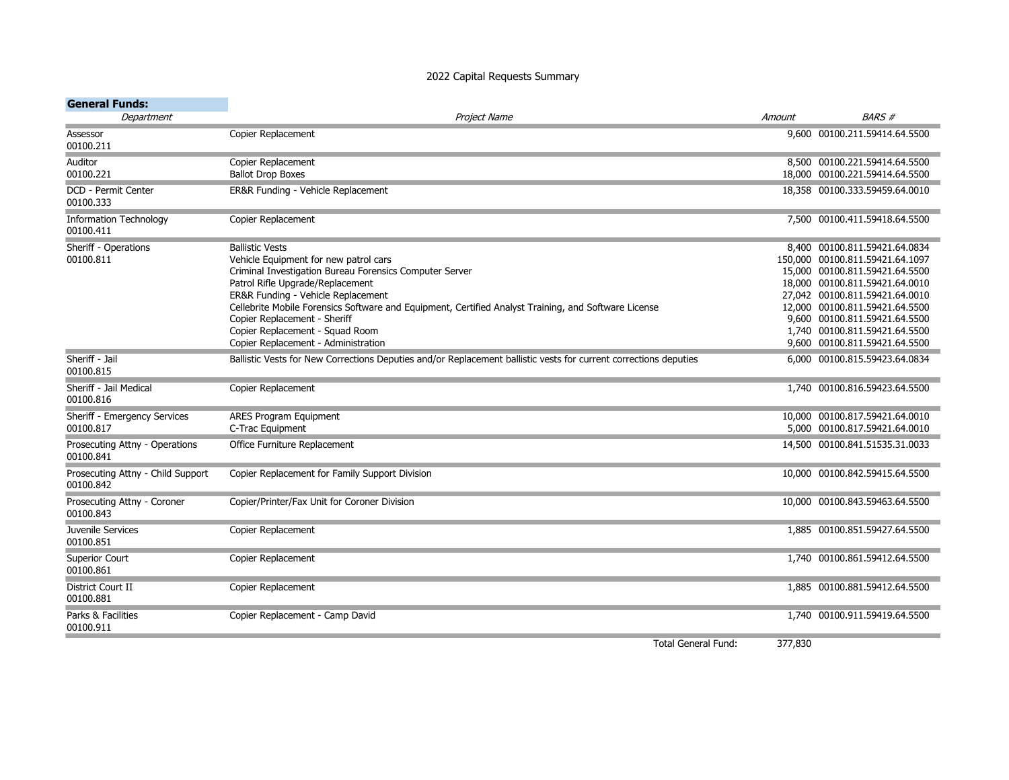## 2022 Capital Requests Summary

| <b>General Funds:</b>                          |                                                                                                                  |        |                                                                |
|------------------------------------------------|------------------------------------------------------------------------------------------------------------------|--------|----------------------------------------------------------------|
| Department                                     | Project Name                                                                                                     | Amount | <b>BARS#</b>                                                   |
| Assessor<br>00100.211                          | Copier Replacement                                                                                               |        | 9,600 00100.211.59414.64.5500                                  |
| Auditor                                        | Copier Replacement                                                                                               |        | 8,500 00100.221.59414.64.5500                                  |
| 00100.221                                      | <b>Ballot Drop Boxes</b>                                                                                         |        | 18,000 00100.221.59414.64.5500                                 |
| <b>DCD - Permit Center</b><br>00100.333        | ER&R Funding - Vehicle Replacement                                                                               |        | 18,358 00100.333.59459.64.0010                                 |
| <b>Information Technology</b><br>00100.411     | Copier Replacement                                                                                               |        | 7,500 00100.411.59418.64.5500                                  |
| Sheriff - Operations                           | <b>Ballistic Vests</b>                                                                                           |        | 8,400 00100.811.59421.64.0834                                  |
| 00100.811                                      | Vehicle Equipment for new patrol cars                                                                            |        | 150,000 00100.811.59421.64.1097                                |
|                                                | Criminal Investigation Bureau Forensics Computer Server                                                          |        | 15,000 00100.811.59421.64.5500                                 |
|                                                | Patrol Rifle Upgrade/Replacement                                                                                 |        | 18,000 00100.811.59421.64.0010                                 |
|                                                | ER&R Funding - Vehicle Replacement                                                                               |        | 27,042 00100.811.59421.64.0010                                 |
|                                                | Cellebrite Mobile Forensics Software and Equipment, Certified Analyst Training, and Software License             |        | 12,000 00100.811.59421.64.5500                                 |
|                                                | Copier Replacement - Sheriff<br>Copier Replacement - Squad Room                                                  |        | 9,600 00100.811.59421.64.5500<br>1,740 00100.811.59421.64.5500 |
|                                                | Copier Replacement - Administration                                                                              |        | 9,600 00100.811.59421.64.5500                                  |
|                                                |                                                                                                                  |        |                                                                |
| Sheriff - Jail<br>00100.815                    | Ballistic Vests for New Corrections Deputies and/or Replacement ballistic vests for current corrections deputies |        | 6,000 00100.815.59423.64.0834                                  |
| Sheriff - Jail Medical<br>00100.816            | Copier Replacement                                                                                               |        | 1,740 00100.816.59423.64.5500                                  |
| Sheriff - Emergency Services                   | <b>ARES Program Equipment</b>                                                                                    |        | 10,000 00100.817.59421.64.0010                                 |
| 00100.817                                      | C-Trac Equipment                                                                                                 |        | 5,000 00100.817.59421.64.0010                                  |
| Prosecuting Attny - Operations<br>00100.841    | Office Furniture Replacement                                                                                     |        | 14,500 00100.841.51535.31.0033                                 |
| Prosecuting Attny - Child Support<br>00100.842 | Copier Replacement for Family Support Division                                                                   |        | 10,000 00100.842.59415.64.5500                                 |
| Prosecuting Attny - Coroner<br>00100.843       | Copier/Printer/Fax Unit for Coroner Division                                                                     |        | 10,000 00100.843.59463.64.5500                                 |
| Juvenile Services<br>00100.851                 | Copier Replacement                                                                                               |        | 1,885 00100.851.59427.64.5500                                  |
| Superior Court<br>00100.861                    | Copier Replacement                                                                                               |        | 1,740 00100.861.59412.64.5500                                  |
| District Court II<br>00100.881                 | Copier Replacement                                                                                               |        | 1,885 00100.881.59412.64.5500                                  |
| Parks & Facilities<br>00100.911                | Copier Replacement - Camp David                                                                                  |        | 1,740 00100.911.59419.64.5500                                  |

Total General Fund: 377,830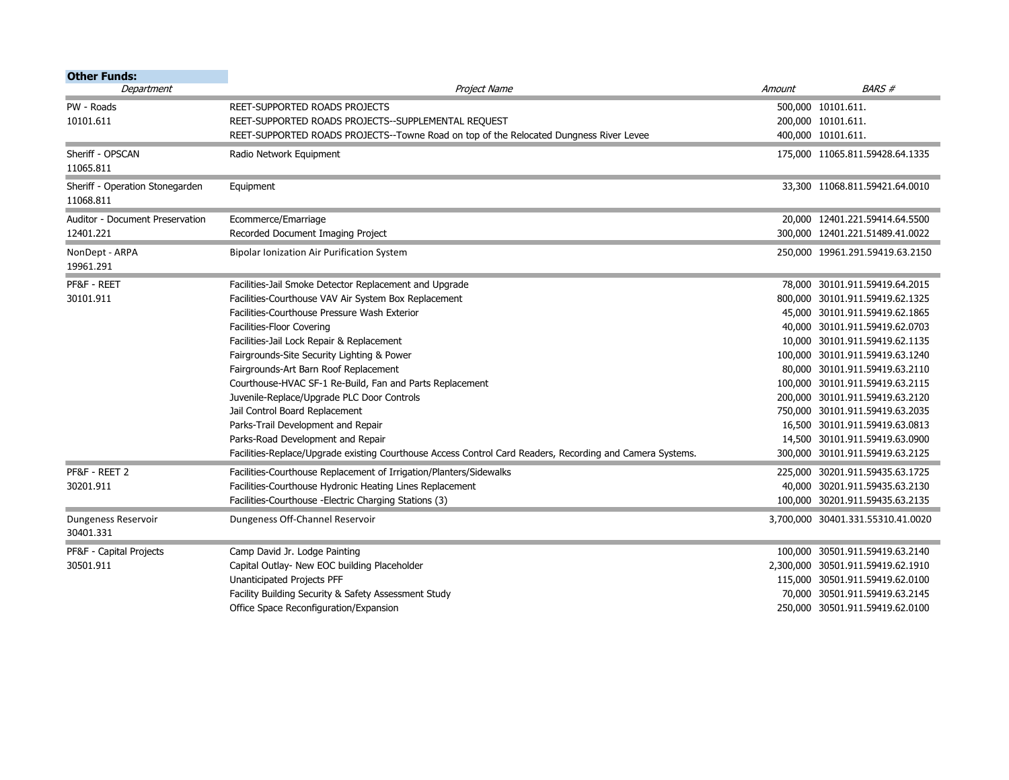| <b>Other Funds:</b>             |                                                                                                           |        |                                   |
|---------------------------------|-----------------------------------------------------------------------------------------------------------|--------|-----------------------------------|
| Department                      | Project Name                                                                                              | Amount | <b>BARS#</b>                      |
| PW - Roads                      | REET-SUPPORTED ROADS PROJECTS                                                                             |        | 500,000 10101.611.                |
| 10101.611                       | REET-SUPPORTED ROADS PROJECTS--SUPPLEMENTAL REQUEST                                                       |        | 200,000 10101.611.                |
|                                 | REET-SUPPORTED ROADS PROJECTS--Towne Road on top of the Relocated Dungness River Levee                    |        | 400,000 10101.611.                |
| Sheriff - OPSCAN                | Radio Network Equipment                                                                                   |        | 175,000 11065.811.59428.64.1335   |
| 11065.811                       |                                                                                                           |        |                                   |
| Sheriff - Operation Stonegarden | Equipment                                                                                                 |        | 33,300 11068.811.59421.64.0010    |
| 11068.811                       |                                                                                                           |        |                                   |
| Auditor - Document Preservation | Ecommerce/Emarriage                                                                                       |        | 20,000 12401.221.59414.64.5500    |
| 12401.221                       | Recorded Document Imaging Project                                                                         |        | 300.000 12401.221.51489.41.0022   |
| NonDept - ARPA                  | Bipolar Ionization Air Purification System                                                                |        | 250,000 19961.291.59419.63.2150   |
| 19961.291                       |                                                                                                           |        |                                   |
| PF&F - REET                     | Facilities-Jail Smoke Detector Replacement and Upgrade                                                    |        | 78,000 30101.911.59419.64.2015    |
| 30101.911                       | Facilities-Courthouse VAV Air System Box Replacement                                                      |        | 800,000 30101.911.59419.62.1325   |
|                                 | Facilities-Courthouse Pressure Wash Exterior                                                              |        | 45,000 30101.911.59419.62.1865    |
|                                 | Facilities-Floor Covering                                                                                 |        | 40,000 30101.911.59419.62.0703    |
|                                 | Facilities-Jail Lock Repair & Replacement                                                                 |        | 10,000 30101.911.59419.62.1135    |
|                                 | Fairgrounds-Site Security Lighting & Power                                                                |        | 100,000 30101.911.59419.63.1240   |
|                                 | Fairgrounds-Art Barn Roof Replacement                                                                     |        | 80,000 30101.911.59419.63.2110    |
|                                 | Courthouse-HVAC SF-1 Re-Build, Fan and Parts Replacement                                                  |        | 100,000 30101.911.59419.63.2115   |
|                                 | Juvenile-Replace/Upgrade PLC Door Controls                                                                |        | 200,000 30101.911.59419.63.2120   |
|                                 | Jail Control Board Replacement                                                                            |        | 750,000 30101.911.59419.63.2035   |
|                                 | Parks-Trail Development and Repair                                                                        |        | 16,500 30101.911.59419.63.0813    |
|                                 | Parks-Road Development and Repair                                                                         |        | 14,500 30101.911.59419.63.0900    |
|                                 | Facilities-Replace/Upgrade existing Courthouse Access Control Card Readers, Recording and Camera Systems. |        | 300.000 30101.911.59419.63.2125   |
| PF&F - REET 2                   | Facilities-Courthouse Replacement of Irrigation/Planters/Sidewalks                                        |        | 225,000 30201.911.59435.63.1725   |
| 30201.911                       | Facilities-Courthouse Hydronic Heating Lines Replacement                                                  |        | 40,000 30201.911.59435.63.2130    |
|                                 | Facilities-Courthouse -Electric Charging Stations (3)                                                     |        | 100,000 30201.911.59435.63.2135   |
| Dungeness Reservoir             | Dungeness Off-Channel Reservoir                                                                           |        | 3,700,000 30401.331.55310.41.0020 |
| 30401.331                       |                                                                                                           |        |                                   |
| PF&F - Capital Projects         | Camp David Jr. Lodge Painting                                                                             |        | 100,000 30501.911.59419.63.2140   |
| 30501.911                       | Capital Outlay- New EOC building Placeholder                                                              |        | 2,300,000 30501.911.59419.62.1910 |
|                                 | Unanticipated Projects PFF                                                                                |        | 115,000 30501.911.59419.62.0100   |
|                                 | Facility Building Security & Safety Assessment Study                                                      |        | 70,000 30501.911.59419.63.2145    |
|                                 | Office Space Reconfiguration/Expansion                                                                    |        | 250,000 30501.911.59419.62.0100   |